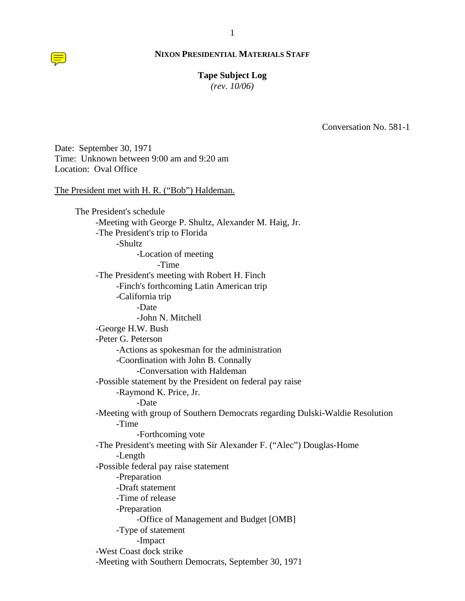#### **Tape Subject Log**

*(rev. 10/06)*

Conversation No. 581-1

Date: September 30, 1971 Time: Unknown between 9:00 am and 9:20 am Location: Oval Office

The President met with H. R. ("Bob") Haldeman.

The President's schedule -Meeting with George P. Shultz, Alexander M. Haig, Jr. -The President's trip to Florida -Shultz -Location of meeting -Time -The President's meeting with Robert H. Finch -Finch's forthcoming Latin American trip -California trip -Date -John N. Mitchell -George H.W. Bush -Peter G. Peterson -Actions as spokesman for the administration -Coordination with John B. Connally -Conversation with Haldeman -Possible statement by the President on federal pay raise -Raymond K. Price, Jr. -Date -Meeting with group of Southern Democrats regarding Dulski-Waldie Resolution -Time -Forthcoming vote -The President's meeting with Sir Alexander F. ("Alec") Douglas-Home -Length -Possible federal pay raise statement -Preparation -Draft statement -Time of release -Preparation -Office of Management and Budget [OMB] -Type of statement -Impact -West Coast dock strike -Meeting with Southern Democrats, September 30, 1971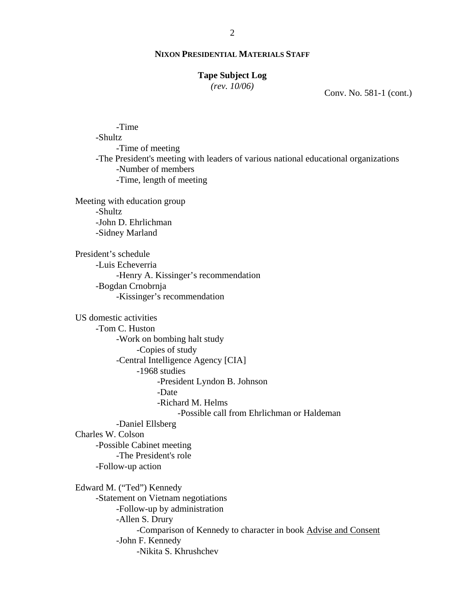#### **Tape Subject Log**

*(rev. 10/06)*

Conv. No. 581-1 (cont.)

-Time -Shultz -Time of meeting -The President's meeting with leaders of various national educational organizations -Number of members -Time, length of meeting Meeting with education group -Shultz -John D. Ehrlichman -Sidney Marland President's schedule -Luis Echeverria -Henry A. Kissinger's recommendation -Bogdan Crnobrnja -Kissinger's recommendation US domestic activities -Tom C. Huston -Work on bombing halt study -Copies of study -Central Intelligence Agency [CIA] -1968 studies -President Lyndon B. Johnson -Date -Richard M. Helms -Possible call from Ehrlichman or Haldeman -Daniel Ellsberg Charles W. Colson -Possible Cabinet meeting -The President's role -Follow-up action Edward M. ("Ted") Kennedy -Statement on Vietnam negotiations -Follow-up by administration -Allen S. Drury -Comparison of Kennedy to character in book Advise and Consent -John F. Kennedy -Nikita S. Khrushchev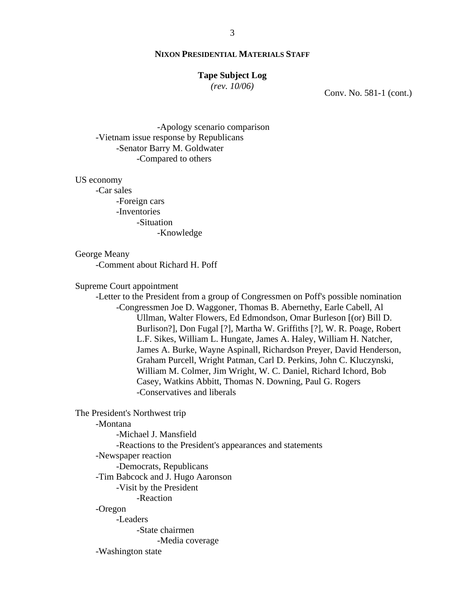#### **Tape Subject Log**

*(rev. 10/06)*

Conv. No. 581-1 (cont.)

-Apology scenario comparison -Vietnam issue response by Republicans -Senator Barry M. Goldwater -Compared to others

US economy

-Car sales -Foreign cars -Inventories -Situation -Knowledge

### George Meany

-Comment about Richard H. Poff

Supreme Court appointment

-Letter to the President from a group of Congressmen on Poff's possible nomination -Congressmen Joe D. Waggoner, Thomas B. Abernethy, Earle Cabell, Al Ullman, Walter Flowers, Ed Edmondson, Omar Burleson [(or) Bill D. Burlison?], Don Fugal [?], Martha W. Griffiths [?], W. R. Poage, Robert L.F. Sikes, William L. Hungate, James A. Haley, William H. Natcher, James A. Burke, Wayne Aspinall, Richardson Preyer, David Henderson, Graham Purcell, Wright Patman, Carl D. Perkins, John C. Kluczynski, William M. Colmer, Jim Wright, W. C. Daniel, Richard Ichord, Bob Casey, Watkins Abbitt, Thomas N. Downing, Paul G. Rogers -Conservatives and liberals

The President's Northwest trip

-Montana

-Michael J. Mansfield -Reactions to the President's appearances and statements -Newspaper reaction -Democrats, Republicans -Tim Babcock and J. Hugo Aaronson -Visit by the President -Reaction -Oregon -Leaders -State chairmen -Media coverage -Washington state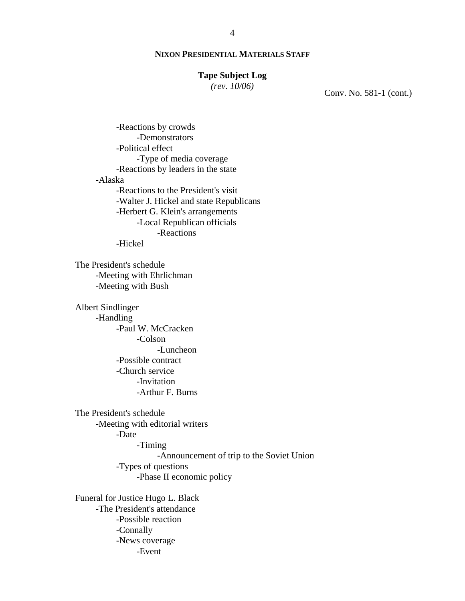### **Tape Subject Log**

*(rev. 10/06)*

Conv. No. 581-1 (cont.)

-Reactions by crowds -Demonstrators -Political effect -Type of media coverage -Reactions by leaders in the state -Alaska -Reactions to the President's visit -Walter J. Hickel and state Republicans -Herbert G. Klein's arrangements -Local Republican officials -Reactions -Hickel

The President's schedule -Meeting with Ehrlichman -Meeting with Bush

Albert Sindlinger -Handling -Paul W. McCracken -Colson -Luncheon -Possible contract -Church service -Invitation -Arthur F. Burns

The President's schedule -Meeting with editorial writers -Date -Timing -Announcement of trip to the Soviet Union -Types of questions -Phase II economic policy

Funeral for Justice Hugo L. Black -The President's attendance -Possible reaction -Connally -News coverage -Event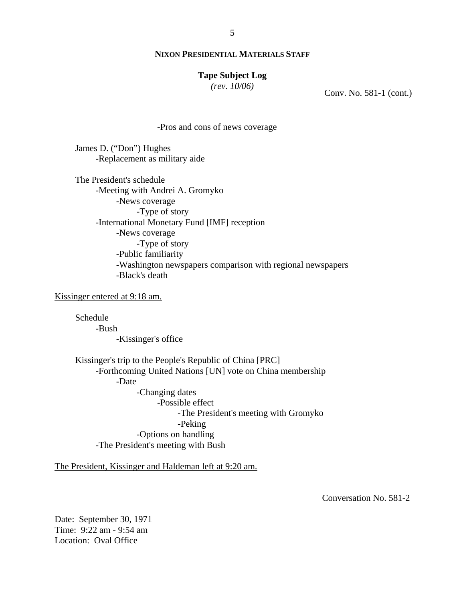#### **Tape Subject Log**

*(rev. 10/06)*

Conv. No. 581-1 (cont.)

-Pros and cons of news coverage

James D. ("Don") Hughes -Replacement as military aide

The President's schedule -Meeting with Andrei A. Gromyko -News coverage -Type of story -International Monetary Fund [IMF] reception -News coverage -Type of story -Public familiarity -Washington newspapers comparison with regional newspapers -Black's death

Kissinger entered at 9:18 am.

Schedule -Bush -Kissinger's office

Kissinger's trip to the People's Republic of China [PRC] -Forthcoming United Nations [UN] vote on China membership -Date -Changing dates -Possible effect -The President's meeting with Gromyko -Peking -Options on handling -The President's meeting with Bush

The President, Kissinger and Haldeman left at 9:20 am.

Conversation No. 581-2

Date: September 30, 1971 Time: 9:22 am - 9:54 am Location: Oval Office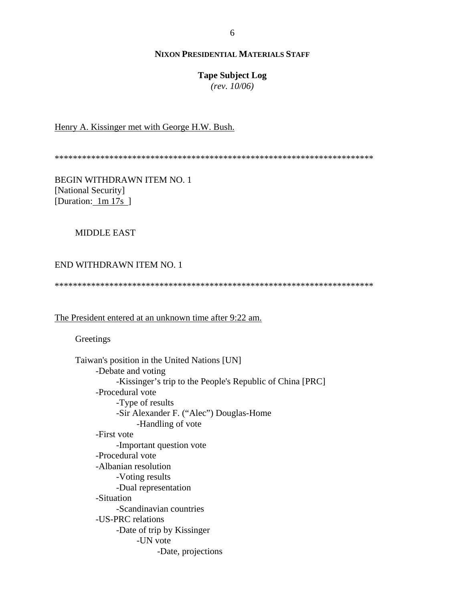# **Tape Subject Log**

*(rev. 10/06)*

# Henry A. Kissinger met with George H.W. Bush.

\*\*\*\*\*\*\*\*\*\*\*\*\*\*\*\*\*\*\*\*\*\*\*\*\*\*\*\*\*\*\*\*\*\*\*\*\*\*\*\*\*\*\*\*\*\*\*\*\*\*\*\*\*\*\*\*\*\*\*\*\*\*\*\*\*\*\*\*\*\*

BEGIN WITHDRAWN ITEM NO. 1 [National Security] [Duration: 1m 17s ]

### MIDDLE EAST

# END WITHDRAWN ITEM NO. 1

\*\*\*\*\*\*\*\*\*\*\*\*\*\*\*\*\*\*\*\*\*\*\*\*\*\*\*\*\*\*\*\*\*\*\*\*\*\*\*\*\*\*\*\*\*\*\*\*\*\*\*\*\*\*\*\*\*\*\*\*\*\*\*\*\*\*\*\*\*\*

### The President entered at an unknown time after 9:22 am.

**Greetings** 

| Taiwan's position in the United Nations [UN]              |
|-----------------------------------------------------------|
| -Debate and voting                                        |
| -Kissinger's trip to the People's Republic of China [PRC] |
| -Procedural vote                                          |
| -Type of results                                          |
| -Sir Alexander F. ("Alec") Douglas-Home                   |
| -Handling of vote                                         |
| -First vote                                               |
| -Important question vote                                  |
| -Procedural vote                                          |
| -Albanian resolution                                      |
| -Voting results                                           |
| -Dual representation                                      |
| -Situation                                                |
| -Scandinavian countries                                   |
| -US-PRC relations                                         |
| -Date of trip by Kissinger                                |
| -UN vote                                                  |
| -Date, projections                                        |
|                                                           |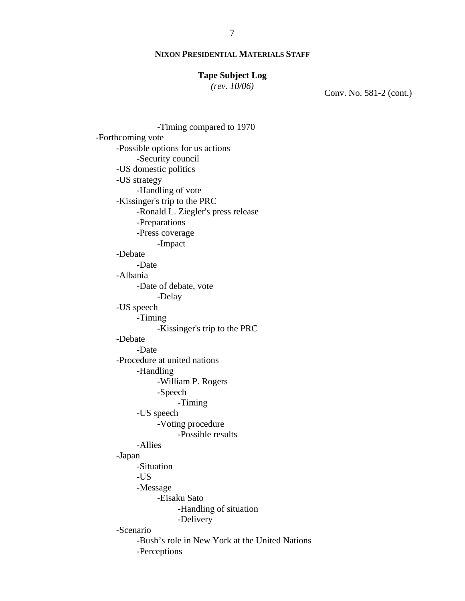### **Tape Subject Log**

*(rev. 10/06)*

Conv. No. 581-2 (cont.)

-Timing compared to 1970 -Forthcoming vote -Possible options for us actions -Security council -US domestic politics -US strategy -Handling of vote -Kissinger's trip to the PRC -Ronald L. Ziegler's press release -Preparations -Press coverage -Impact -Debate -Date -Albania -Date of debate, vote -Delay -US speech -Timing -Kissinger's trip to the PRC -Debate -Date -Procedure at united nations -Handling -William P. Rogers -Speech -Timing -US speech -Voting procedure -Possible results -Allies -Japan -Situation -US -Message -Eisaku Sato -Handling of situation -Delivery -Scenario -Bush's role in New York at the United Nations -Perceptions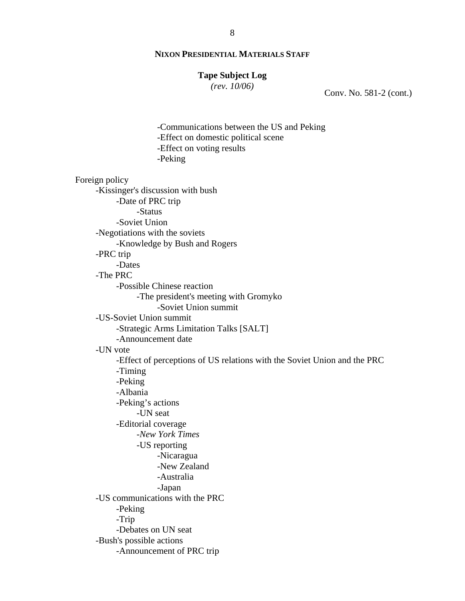#### **Tape Subject Log**

*(rev. 10/06)*

Conv. No. 581-2 (cont.)

-Communications between the US and Peking -Effect on domestic political scene -Effect on voting results -Peking Foreign policy -Kissinger's discussion with bush -Date of PRC trip -Status -Soviet Union -Negotiations with the soviets -Knowledge by Bush and Rogers -PRC trip -Dates -The PRC -Possible Chinese reaction -The president's meeting with Gromyko -Soviet Union summit -US-Soviet Union summit -Strategic Arms Limitation Talks [SALT] -Announcement date -UN vote -Effect of perceptions of US relations with the Soviet Union and the PRC -Timing -Peking -Albania -Peking's actions -UN seat -Editorial coverage *-New York Times*  -US reporting -Nicaragua -New Zealand -Australia -Japan -US communications with the PRC -Peking -Trip -Debates on UN seat -Bush's possible actions -Announcement of PRC trip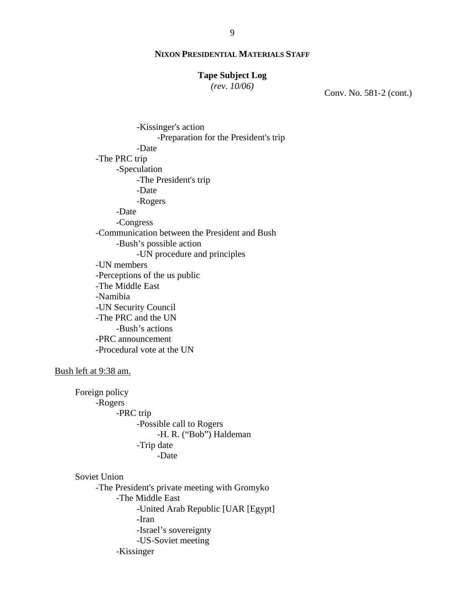#### **Tape Subject Log**

*(rev. 10/06)*

Conv. No. 581-2 (cont.)

-Kissinger's action -Preparation for the President's trip -Date -The PRC trip -Speculation -The President's trip -Date -Rogers -Date -Congress -Communication between the President and Bush -Bush's possible action -UN procedure and principles -UN members -Perceptions of the us public -The Middle East -Namibia -UN Security Council -The PRC and the UN -Bush's actions -PRC announcement -Procedural vote at the UN

#### Bush left at 9:38 am.

 Foreign policy -Rogers -PRC trip -Possible call to Rogers -H. R. ("Bob") Haldeman -Trip date -Date

#### Soviet Union

-The President's private meeting with Gromyko -The Middle East -United Arab Republic [UAR [Egypt] -Iran -Israel's sovereignty -US-Soviet meeting -Kissinger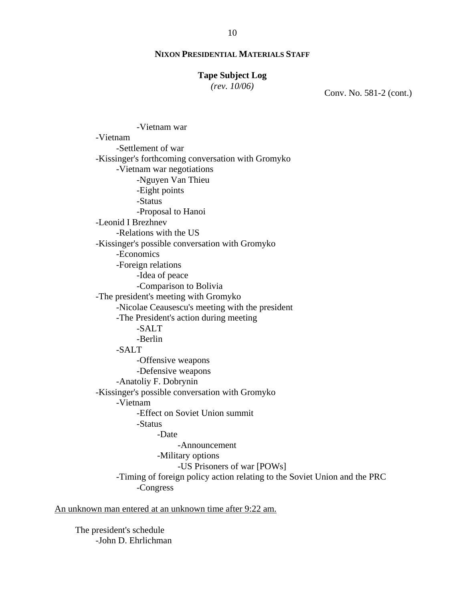#### **Tape Subject Log**

*(rev. 10/06)*

Conv. No. 581-2 (cont.)

-Vietnam war -Vietnam -Settlement of war -Kissinger's forthcoming conversation with Gromyko -Vietnam war negotiations -Nguyen Van Thieu -Eight points -Status -Proposal to Hanoi -Leonid I Brezhnev -Relations with the US -Kissinger's possible conversation with Gromyko -Economics -Foreign relations -Idea of peace -Comparison to Bolivia -The president's meeting with Gromyko -Nicolae Ceausescu's meeting with the president -The President's action during meeting -SALT -Berlin -SALT -Offensive weapons -Defensive weapons -Anatoliy F. Dobrynin -Kissinger's possible conversation with Gromyko -Vietnam -Effect on Soviet Union summit -Status -Date -Announcement -Military options -US Prisoners of war [POWs] -Timing of foreign policy action relating to the Soviet Union and the PRC -Congress

An unknown man entered at an unknown time after 9:22 am.

The president's schedule -John D. Ehrlichman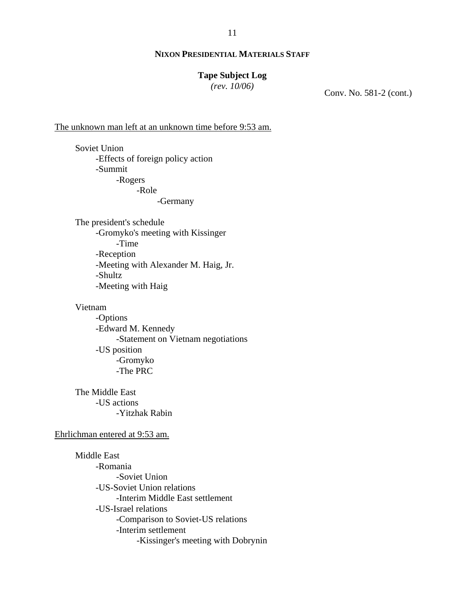### **Tape Subject Log**

*(rev. 10/06)*

Conv. No. 581-2 (cont.)

The unknown man left at an unknown time before 9:53 am.

Soviet Union -Effects of foreign policy action -Summit -Rogers -Role

-Germany

The president's schedule -Gromyko's meeting with Kissinger -Time -Reception -Meeting with Alexander M. Haig, Jr. -Shultz -Meeting with Haig

#### Vietnam

-Options -Edward M. Kennedy -Statement on Vietnam negotiations -US position -Gromyko -The PRC

 The Middle East -US actions -Yitzhak Rabin

### Ehrlichman entered at 9:53 am.

Middle East -Romania -Soviet Union -US-Soviet Union relations -Interim Middle East settlement -US-Israel relations -Comparison to Soviet-US relations -Interim settlement -Kissinger's meeting with Dobrynin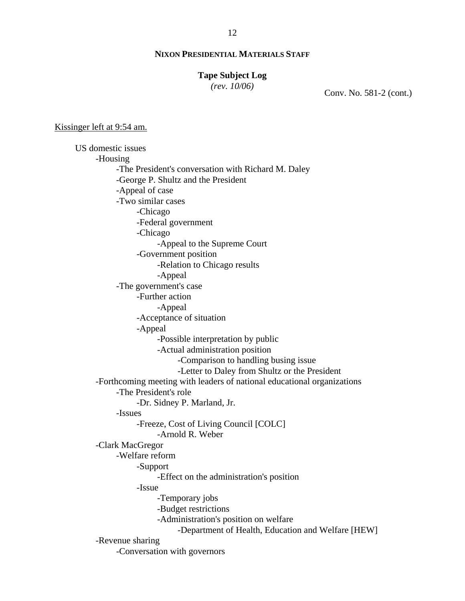#### **Tape Subject Log**

*(rev. 10/06)*

Conv. No. 581-2 (cont.)

#### Kissinger left at 9:54 am.

US domestic issues -Housing -The President's conversation with Richard M. Daley -George P. Shultz and the President -Appeal of case -Two similar cases -Chicago -Federal government -Chicago -Appeal to the Supreme Court -Government position -Relation to Chicago results -Appeal -The government's case -Further action -Appeal -Acceptance of situation -Appeal -Possible interpretation by public -Actual administration position -Comparison to handling busing issue -Letter to Daley from Shultz or the President -Forthcoming meeting with leaders of national educational organizations -The President's role -Dr. Sidney P. Marland, Jr. -Issues -Freeze, Cost of Living Council [COLC] -Arnold R. Weber -Clark MacGregor -Welfare reform -Support -Effect on the administration's position -Issue -Temporary jobs -Budget restrictions -Administration's position on welfare -Department of Health, Education and Welfare [HEW] -Revenue sharing -Conversation with governors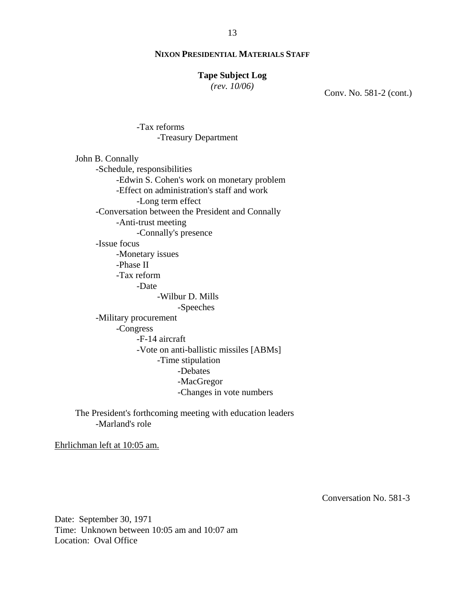### **Tape Subject Log**

*(rev. 10/06)*

Conv. No. 581-2 (cont.)

-Tax reforms -Treasury Department

John B. Connally -Schedule, responsibilities -Edwin S. Cohen's work on monetary problem -Effect on administration's staff and work -Long term effect -Conversation between the President and Connally -Anti-trust meeting -Connally's presence -Issue focus -Monetary issues -Phase II -Tax reform -Date -Wilbur D. Mills -Speeches -Military procurement -Congress -F-14 aircraft -Vote on anti-ballistic missiles [ABMs] -Time stipulation -Debates -MacGregor -Changes in vote numbers

The President's forthcoming meeting with education leaders -Marland's role

Ehrlichman left at 10:05 am.

Conversation No. 581-3

Date: September 30, 1971 Time: Unknown between 10:05 am and 10:07 am Location: Oval Office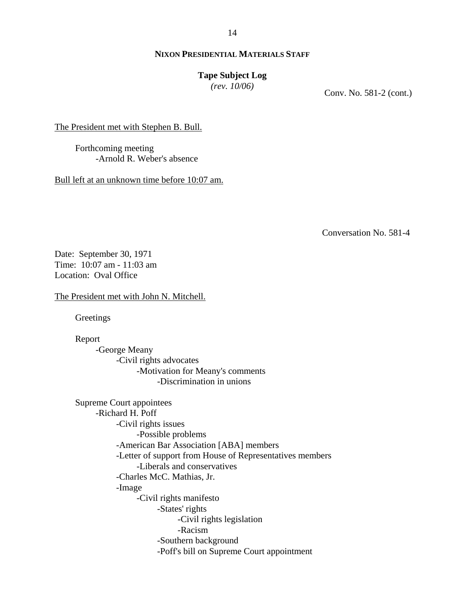14

### **NIXON PRESIDENTIAL MATERIALS STAFF**

#### **Tape Subject Log**

*(rev. 10/06)*

Conv. No. 581-2 (cont.)

The President met with Stephen B. Bull.

Forthcoming meeting -Arnold R. Weber's absence

Bull left at an unknown time before 10:07 am.

Conversation No. 581-4

Date: September 30, 1971 Time: 10:07 am - 11:03 am Location: Oval Office

The President met with John N. Mitchell.

Greetings

Report

-George Meany -Civil rights advocates -Motivation for Meany's comments -Discrimination in unions

Supreme Court appointees -Richard H. Poff -Civil rights issues -Possible problems -American Bar Association [ABA] members -Letter of support from House of Representatives members -Liberals and conservatives -Charles McC. Mathias, Jr. -Image -Civil rights manifesto -States' rights -Civil rights legislation -Racism -Southern background -Poff's bill on Supreme Court appointment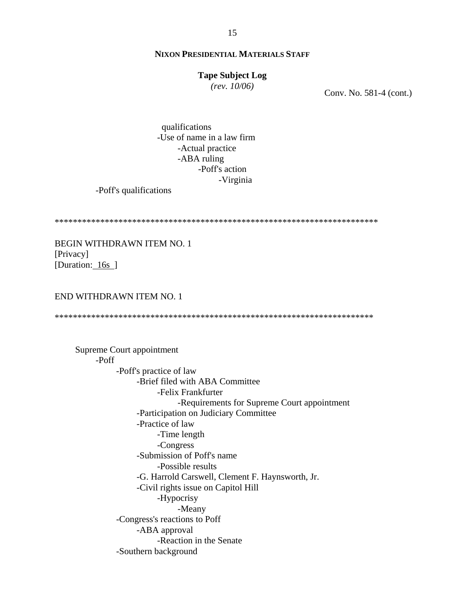#### **Tape Subject Log**

*(rev. 10/06)*

Conv. No. 581-4 (cont.)

 qualifications -Use of name in a law firm -Actual practice -ABA ruling -Poff's action -Virginia

-Poff's qualifications

\*\*\*\*\*\*\*\*\*\*\*\*\*\*\*\*\*\*\*\*\*\*\*\*\*\*\*\*\*\*\*\*\*\*\*\*\*\*\*\*\*\*\*\*\*\*\*\*\*\*\*\*\*\*\*\*\*\*\*\*\*\*\*\*\*\*\*\*\*\*\*

BEGIN WITHDRAWN ITEM NO. 1 [Privacy] [Duration: 16s<sup>]</sup>

### END WITHDRAWN ITEM NO. 1

\*\*\*\*\*\*\*\*\*\*\*\*\*\*\*\*\*\*\*\*\*\*\*\*\*\*\*\*\*\*\*\*\*\*\*\*\*\*\*\*\*\*\*\*\*\*\*\*\*\*\*\*\*\*\*\*\*\*\*\*\*\*\*\*\*\*\*\*\*\*

 Supreme Court appointment -Poff -Poff's practice of law -Brief filed with ABA Committee -Felix Frankfurter -Requirements for Supreme Court appointment -Participation on Judiciary Committee -Practice of law -Time length -Congress -Submission of Poff's name -Possible results -G. Harrold Carswell, Clement F. Haynsworth, Jr. -Civil rights issue on Capitol Hill -Hypocrisy -Meany -Congress's reactions to Poff -ABA approval -Reaction in the Senate -Southern background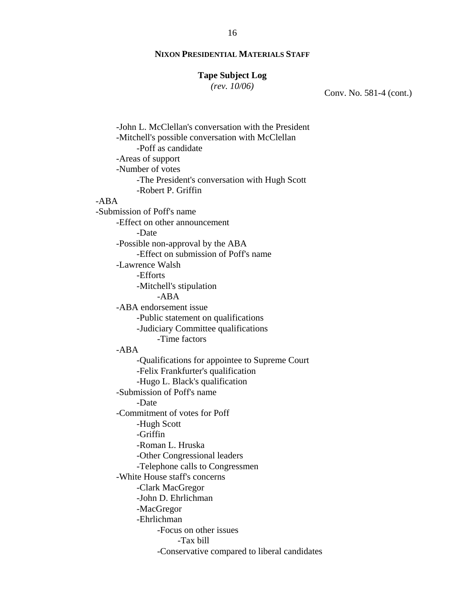#### **Tape Subject Log**

*(rev. 10/06)*

Conv. No. 581-4 (cont.)

-John L. McClellan's conversation with the President -Mitchell's possible conversation with McClellan -Poff as candidate -Areas of support -Number of votes -The President's conversation with Hugh Scott -Robert P. Griffin -ABA -Submission of Poff's name -Effect on other announcement -Date -Possible non-approval by the ABA -Effect on submission of Poff's name -Lawrence Walsh -Efforts -Mitchell's stipulation -ABA -ABA endorsement issue -Public statement on qualifications -Judiciary Committee qualifications -Time factors -ABA -Qualifications for appointee to Supreme Court -Felix Frankfurter's qualification -Hugo L. Black's qualification -Submission of Poff's name -Date -Commitment of votes for Poff -Hugh Scott -Griffin -Roman L. Hruska -Other Congressional leaders -Telephone calls to Congressmen -White House staff's concerns -Clark MacGregor -John D. Ehrlichman -MacGregor -Ehrlichman -Focus on other issues -Tax bill -Conservative compared to liberal candidates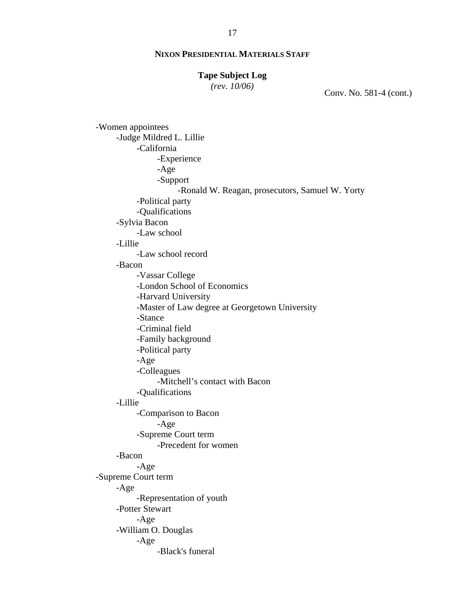### **Tape Subject Log**

*(rev. 10/06)*

Conv. No. 581-4 (cont.)

-Women appointees -Judge Mildred L. Lillie -California -Experience -Age -Support -Ronald W. Reagan, prosecutors, Samuel W. Yorty -Political party -Qualifications -Sylvia Bacon -Law school -Lillie -Law school record -Bacon -Vassar College -London School of Economics -Harvard University -Master of Law degree at Georgetown University -Stance -Criminal field -Family background -Political party -Age -Colleagues -Mitchell's contact with Bacon -Qualifications -Lillie -Comparison to Bacon -Age -Supreme Court term -Precedent for women -Bacon -Age -Supreme Court term -Age -Representation of youth -Potter Stewart -Age -William O. Douglas -Age -Black's funeral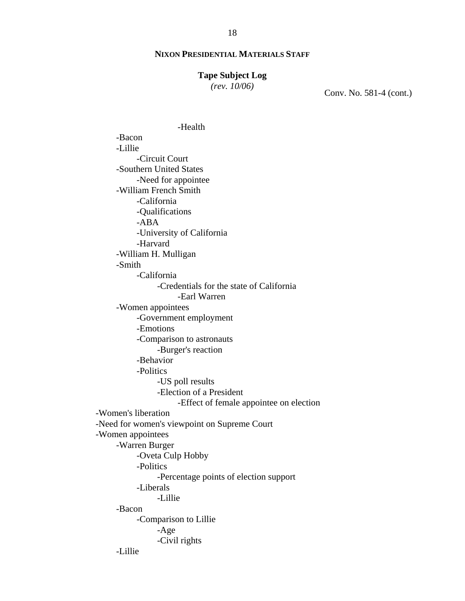#### **Tape Subject Log**

*(rev. 10/06)*

Conv. No. 581-4 (cont.)

-Health -Bacon -Lillie -Circuit Court -Southern United States -Need for appointee -William French Smith -California -Qualifications -ABA -University of California -Harvard -William H. Mulligan -Smith -California -Credentials for the state of California -Earl Warren -Women appointees -Government employment -Emotions -Comparison to astronauts -Burger's reaction -Behavior -Politics -US poll results -Election of a President -Effect of female appointee on election -Women's liberation -Need for women's viewpoint on Supreme Court -Women appointees -Warren Burger -Oveta Culp Hobby -Politics -Percentage points of election support -Liberals -Lillie -Bacon -Comparison to Lillie -Age -Civil rights -Lillie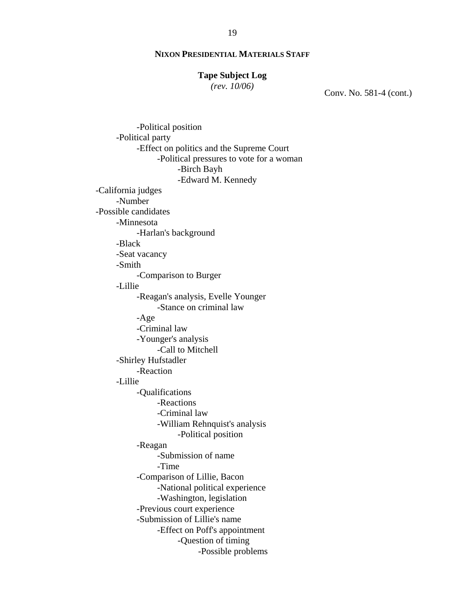### **Tape Subject Log**

*(rev. 10/06)*

Conv. No. 581-4 (cont.)

-Political position -Political party -Effect on politics and the Supreme Court -Political pressures to vote for a woman -Birch Bayh -Edward M. Kennedy -California judges -Number -Possible candidates -Minnesota -Harlan's background -Black -Seat vacancy -Smith -Comparison to Burger -Lillie -Reagan's analysis, Evelle Younger -Stance on criminal law -Age -Criminal law -Younger's analysis -Call to Mitchell -Shirley Hufstadler -Reaction -Lillie -Qualifications -Reactions -Criminal law -William Rehnquist's analysis -Political position -Reagan -Submission of name -Time -Comparison of Lillie, Bacon -National political experience -Washington, legislation -Previous court experience -Submission of Lillie's name -Effect on Poff's appointment -Question of timing -Possible problems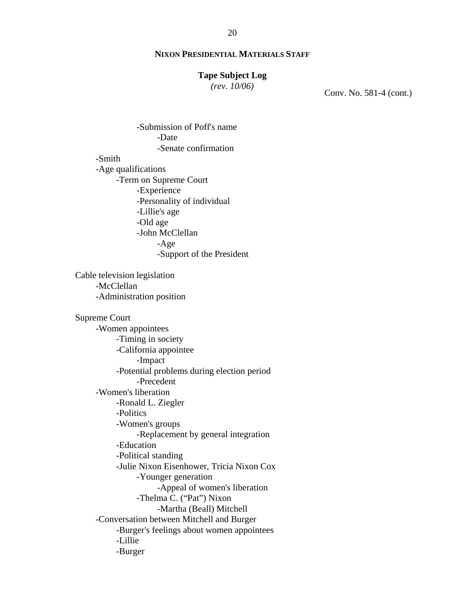#### **Tape Subject Log**

*(rev. 10/06)*

Conv. No. 581-4 (cont.)

-Submission of Poff's name -Date -Senate confirmation -Smith -Age qualifications -Term on Supreme Court -Experience -Personality of individual -Lillie's age -Old age -John McClellan -Age -Support of the President Cable television legislation -McClellan -Administration position Supreme Court -Women appointees -Timing in society -California appointee -Impact -Potential problems during election period -Precedent -Women's liberation -Ronald L. Ziegler -Politics -Women's groups -Replacement by general integration -Education -Political standing -Julie Nixon Eisenhower, Tricia Nixon Cox -Younger generation -Appeal of women's liberation -Thelma C. ("Pat") Nixon -Martha (Beall) Mitchell -Conversation between Mitchell and Burger -Burger's feelings about women appointees -Lillie -Burger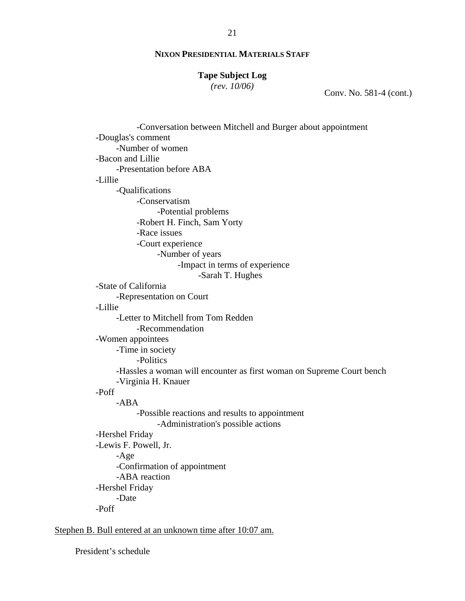# **Tape Subject Log**

*(rev. 10/06)*

Conv. No. 581-4 (cont.)

| -Conversation between Mitchell and Burger about appointment           |
|-----------------------------------------------------------------------|
| -Douglas's comment                                                    |
| -Number of women                                                      |
| -Bacon and Lillie                                                     |
| -Presentation before ABA                                              |
| -Lillie                                                               |
| -Qualifications                                                       |
| -Conservatism                                                         |
| -Potential problems                                                   |
| -Robert H. Finch, Sam Yorty                                           |
| -Race issues                                                          |
| -Court experience                                                     |
| -Number of years                                                      |
| -Impact in terms of experience                                        |
| -Sarah T. Hughes                                                      |
| -State of California                                                  |
| -Representation on Court                                              |
| -Lillie                                                               |
| -Letter to Mitchell from Tom Redden                                   |
| -Recommendation                                                       |
| -Women appointees                                                     |
| -Time in society                                                      |
| -Politics                                                             |
| -Hassles a woman will encounter as first woman on Supreme Court bench |
| -Virginia H. Knauer                                                   |
| -Poff                                                                 |
| $-ABA$                                                                |
| -Possible reactions and results to appointment                        |
| -Administration's possible actions                                    |
| -Hershel Friday                                                       |
| -Lewis F. Powell, Jr.                                                 |
| $-Age$                                                                |
| -Confirmation of appointment                                          |
| -ABA reaction                                                         |
| -Hershel Friday                                                       |
| -Date                                                                 |
| -Poff                                                                 |
|                                                                       |

Stephen B. Bull entered at an unknown time after 10:07 am.

President's schedule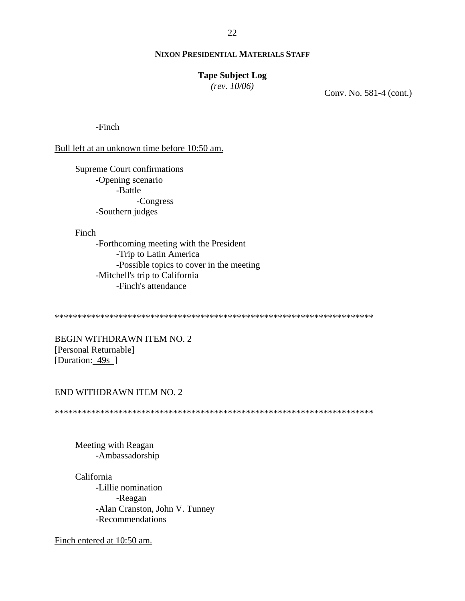### **Tape Subject Log**

*(rev. 10/06)*

Conv. No. 581-4 (cont.)

-Finch

Bull left at an unknown time before 10:50 am.

Supreme Court confirmations -Opening scenario -Battle -Congress -Southern judges

Finch

-Forthcoming meeting with the President -Trip to Latin America -Possible topics to cover in the meeting -Mitchell's trip to California -Finch's attendance

\*\*\*\*\*\*\*\*\*\*\*\*\*\*\*\*\*\*\*\*\*\*\*\*\*\*\*\*\*\*\*\*\*\*\*\*\*\*\*\*\*\*\*\*\*\*\*\*\*\*\*\*\*\*\*\*\*\*\*\*\*\*\*\*\*\*\*\*\*\*

BEGIN WITHDRAWN ITEM NO. 2 [Personal Returnable] [Duration: 49s ]

#### END WITHDRAWN ITEM NO. 2

\*\*\*\*\*\*\*\*\*\*\*\*\*\*\*\*\*\*\*\*\*\*\*\*\*\*\*\*\*\*\*\*\*\*\*\*\*\*\*\*\*\*\*\*\*\*\*\*\*\*\*\*\*\*\*\*\*\*\*\*\*\*\*\*\*\*\*\*\*\*

Meeting with Reagan -Ambassadorship

California -Lillie nomination -Reagan -Alan Cranston, John V. Tunney -Recommendations

Finch entered at 10:50 am.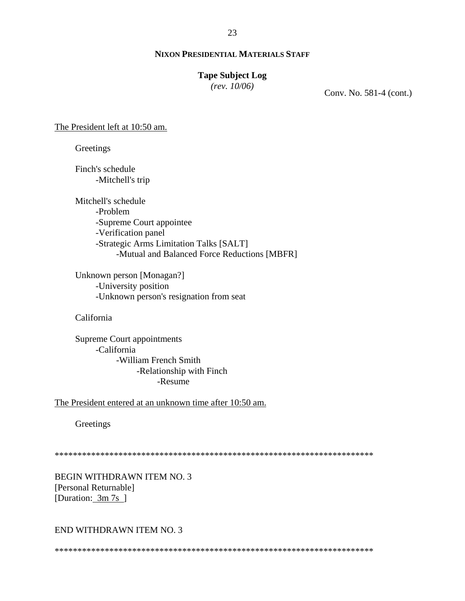### **Tape Subject Log**

*(rev. 10/06)*

Conv. No. 581-4 (cont.)

The President left at 10:50 am.

**Greetings** 

Finch's schedule -Mitchell's trip

Mitchell's schedule -Problem -Supreme Court appointee -Verification panel -Strategic Arms Limitation Talks [SALT] -Mutual and Balanced Force Reductions [MBFR]

Unknown person [Monagan?] -University position -Unknown person's resignation from seat

California

Supreme Court appointments -California -William French Smith -Relationship with Finch -Resume

The President entered at an unknown time after 10:50 am.

**Greetings** 

\*\*\*\*\*\*\*\*\*\*\*\*\*\*\*\*\*\*\*\*\*\*\*\*\*\*\*\*\*\*\*\*\*\*\*\*\*\*\*\*\*\*\*\*\*\*\*\*\*\*\*\*\*\*\*\*\*\*\*\*\*\*\*\*\*\*\*\*\*\*

BEGIN WITHDRAWN ITEM NO. 3 [Personal Returnable] [Duration:  $3m 7s$ ]

#### END WITHDRAWN ITEM NO. 3

\*\*\*\*\*\*\*\*\*\*\*\*\*\*\*\*\*\*\*\*\*\*\*\*\*\*\*\*\*\*\*\*\*\*\*\*\*\*\*\*\*\*\*\*\*\*\*\*\*\*\*\*\*\*\*\*\*\*\*\*\*\*\*\*\*\*\*\*\*\*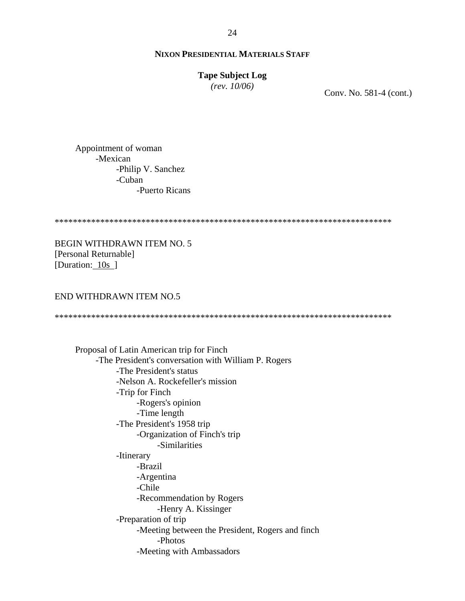#### **Tape Subject Log**

*(rev. 10/06)*

Conv. No. 581-4 (cont.)

Appointment of woman -Mexican -Philip V. Sanchez -Cuban -Puerto Ricans

\*\*\*\*\*\*\*\*\*\*\*\*\*\*\*\*\*\*\*\*\*\*\*\*\*\*\*\*\*\*\*\*\*\*\*\*\*\*\*\*\*\*\*\*\*\*\*\*\*\*\*\*\*\*\*\*\*\*\*\*\*\*\*\*\*\*\*\*\*\*\*\*\*\*

BEGIN WITHDRAWN ITEM NO. 5 [Personal Returnable] [Duration: 10s ]

### END WITHDRAWN ITEM NO.5

\*\*\*\*\*\*\*\*\*\*\*\*\*\*\*\*\*\*\*\*\*\*\*\*\*\*\*\*\*\*\*\*\*\*\*\*\*\*\*\*\*\*\*\*\*\*\*\*\*\*\*\*\*\*\*\*\*\*\*\*\*\*\*\*\*\*\*\*\*\*\*\*\*\*

Proposal of Latin American trip for Finch -The President's conversation with William P. Rogers -The President's status -Nelson A. Rockefeller's mission -Trip for Finch -Rogers's opinion -Time length -The President's 1958 trip -Organization of Finch's trip -Similarities -Itinerary -Brazil -Argentina -Chile -Recommendation by Rogers -Henry A. Kissinger -Preparation of trip -Meeting between the President, Rogers and finch -Photos -Meeting with Ambassadors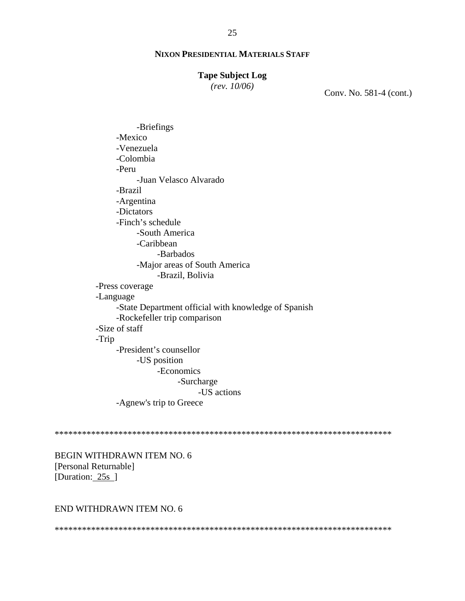#### **Tape Subject Log**

*(rev. 10/06)*

Conv. No. 581-4 (cont.)

-Briefings -Mexico -Venezuela -Colombia -Peru -Juan Velasco Alvarado -Brazil -Argentina -Dictators -Finch's schedule -South America -Caribbean -Barbados -Major areas of South America -Brazil, Bolivia -Press coverage -Language -State Department official with knowledge of Spanish -Rockefeller trip comparison -Size of staff -Trip -President's counsellor -US position -Economics -Surcharge -US actions -Agnew's trip to Greece

\*\*\*\*\*\*\*\*\*\*\*\*\*\*\*\*\*\*\*\*\*\*\*\*\*\*\*\*\*\*\*\*\*\*\*\*\*\*\*\*\*\*\*\*\*\*\*\*\*\*\*\*\*\*\*\*\*\*\*\*\*\*\*\*\*\*\*\*\*\*\*\*\*\*

BEGIN WITHDRAWN ITEM NO. 6 [Personal Returnable] [Duration: 25s ]

### END WITHDRAWN ITEM NO. 6

\*\*\*\*\*\*\*\*\*\*\*\*\*\*\*\*\*\*\*\*\*\*\*\*\*\*\*\*\*\*\*\*\*\*\*\*\*\*\*\*\*\*\*\*\*\*\*\*\*\*\*\*\*\*\*\*\*\*\*\*\*\*\*\*\*\*\*\*\*\*\*\*\*\*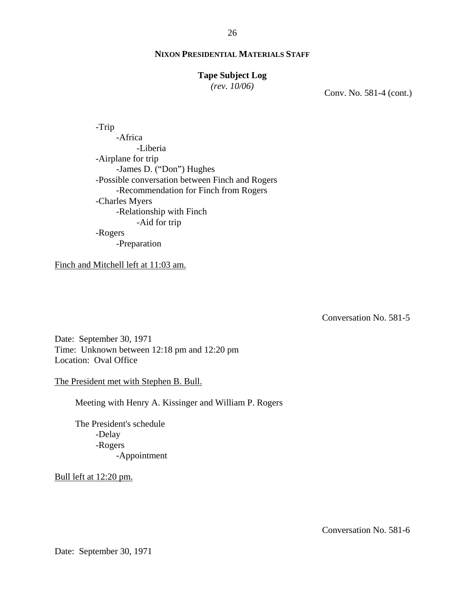#### **Tape Subject Log**

*(rev. 10/06)*

Conv. No. 581-4 (cont.)

 -Trip -Africa -Liberia -Airplane for trip -James D. ("Don") Hughes -Possible conversation between Finch and Rogers -Recommendation for Finch from Rogers -Charles Myers -Relationship with Finch -Aid for trip -Rogers -Preparation

Finch and Mitchell left at 11:03 am.

Conversation No. 581-5

Date: September 30, 1971 Time: Unknown between 12:18 pm and 12:20 pm Location: Oval Office

The President met with Stephen B. Bull.

Meeting with Henry A. Kissinger and William P. Rogers

The President's schedule -Delay -Rogers -Appointment

Bull left at 12:20 pm.

Conversation No. 581-6

Date: September 30, 1971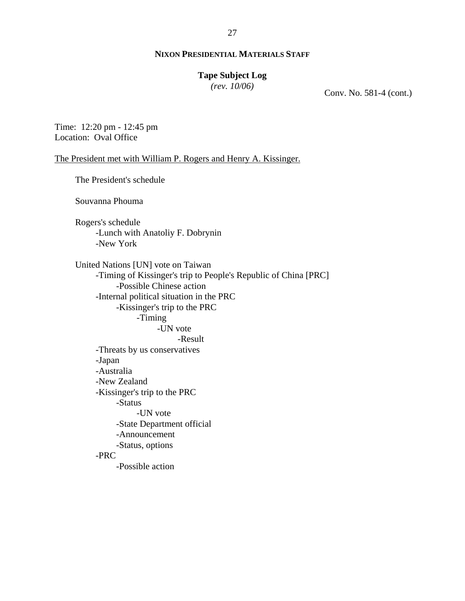### **Tape Subject Log**

*(rev. 10/06)*

Conv. No. 581-4 (cont.)

Time: 12:20 pm - 12:45 pm Location: Oval Office

The President met with William P. Rogers and Henry A. Kissinger.

The President's schedule Souvanna Phouma Rogers's schedule -Lunch with Anatoliy F. Dobrynin -New York United Nations [UN] vote on Taiwan -Timing of Kissinger's trip to People's Republic of China [PRC] -Possible Chinese action -Internal political situation in the PRC -Kissinger's trip to the PRC -Timing -UN vote -Result -Threats by us conservatives -Japan -Australia -New Zealand -Kissinger's trip to the PRC -Status -UN vote -State Department official -Announcement -Status, options -PRC -Possible action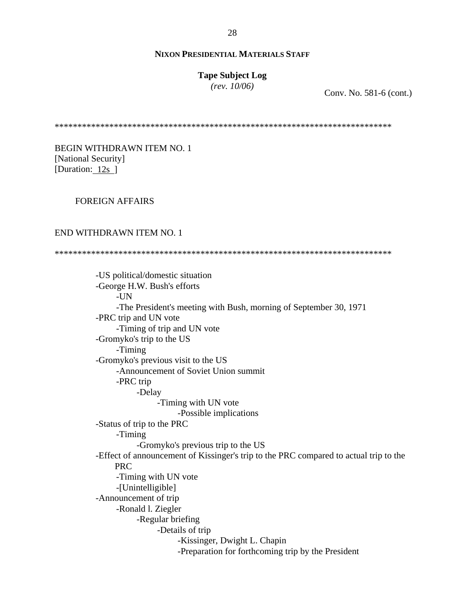#### **Tape Subject Log**

*(rev. 10/06)*

Conv. No. 581-6 (cont.)

\*\*\*\*\*\*\*\*\*\*\*\*\*\*\*\*\*\*\*\*\*\*\*\*\*\*\*\*\*\*\*\*\*\*\*\*\*\*\*\*\*\*\*\*\*\*\*\*\*\*\*\*\*\*\*\*\*\*\*\*\*\*\*\*\*\*\*\*\*\*\*\*\*\*

BEGIN WITHDRAWN ITEM NO. 1 [National Security] [Duration: 12s ]

### FOREIGN AFFAIRS

#### END WITHDRAWN ITEM NO. 1

\*\*\*\*\*\*\*\*\*\*\*\*\*\*\*\*\*\*\*\*\*\*\*\*\*\*\*\*\*\*\*\*\*\*\*\*\*\*\*\*\*\*\*\*\*\*\*\*\*\*\*\*\*\*\*\*\*\*\*\*\*\*\*\*\*\*\*\*\*\*\*\*\*\*

-US political/domestic situation -George H.W. Bush's efforts -UN -The President's meeting with Bush, morning of September 30, 1971 -PRC trip and UN vote -Timing of trip and UN vote -Gromyko's trip to the US -Timing -Gromyko's previous visit to the US -Announcement of Soviet Union summit -PRC trip -Delay -Timing with UN vote -Possible implications -Status of trip to the PRC -Timing -Gromyko's previous trip to the US -Effect of announcement of Kissinger's trip to the PRC compared to actual trip to the PRC -Timing with UN vote -[Unintelligible] -Announcement of trip -Ronald l. Ziegler -Regular briefing -Details of trip -Kissinger, Dwight L. Chapin -Preparation for forthcoming trip by the President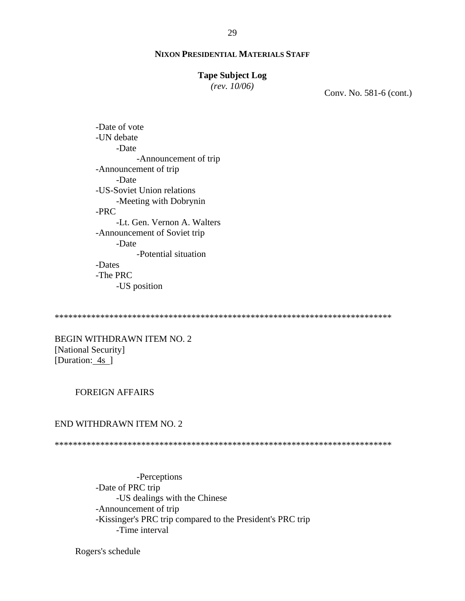#### **Tape Subject Log**

*(rev. 10/06)*

Conv. No. 581-6 (cont.)

-Date of vote -UN debate -Date -Announcement of trip -Announcement of trip -Date -US-Soviet Union relations -Meeting with Dobrynin -PRC -Lt. Gen. Vernon A. Walters -Announcement of Soviet trip -Date -Potential situation -Dates -The PRC -US position

\*\*\*\*\*\*\*\*\*\*\*\*\*\*\*\*\*\*\*\*\*\*\*\*\*\*\*\*\*\*\*\*\*\*\*\*\*\*\*\*\*\*\*\*\*\*\*\*\*\*\*\*\*\*\*\*\*\*\*\*\*\*\*\*\*\*\*\*\*\*\*\*\*\*

BEGIN WITHDRAWN ITEM NO. 2 [National Security] [Duration: 4s ]

#### FOREIGN AFFAIRS

### END WITHDRAWN ITEM NO. 2

\*\*\*\*\*\*\*\*\*\*\*\*\*\*\*\*\*\*\*\*\*\*\*\*\*\*\*\*\*\*\*\*\*\*\*\*\*\*\*\*\*\*\*\*\*\*\*\*\*\*\*\*\*\*\*\*\*\*\*\*\*\*\*\*\*\*\*\*\*\*\*\*\*\*

-Perceptions -Date of PRC trip -US dealings with the Chinese -Announcement of trip -Kissinger's PRC trip compared to the President's PRC trip -Time interval

Rogers's schedule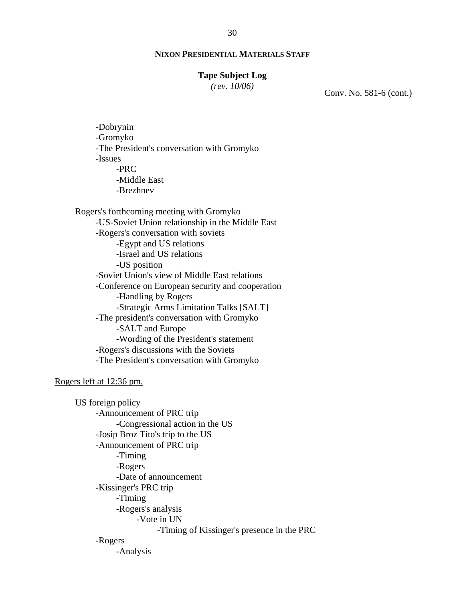#### **Tape Subject Log**

*(rev. 10/06)*

Conv. No. 581-6 (cont.)

 -Dobrynin -Gromyko -The President's conversation with Gromyko -Issues -PRC -Middle East -Brezhnev

Rogers's forthcoming meeting with Gromyko -US-Soviet Union relationship in the Middle East -Rogers's conversation with soviets -Egypt and US relations -Israel and US relations -US position -Soviet Union's view of Middle East relations -Conference on European security and cooperation -Handling by Rogers -Strategic Arms Limitation Talks [SALT] -The president's conversation with Gromyko -SALT and Europe -Wording of the President's statement -Rogers's discussions with the Soviets -The President's conversation with Gromyko

Rogers left at 12:36 pm.

US foreign policy -Announcement of PRC trip -Congressional action in the US -Josip Broz Tito's trip to the US -Announcement of PRC trip -Timing -Rogers -Date of announcement -Kissinger's PRC trip -Timing -Rogers's analysis -Vote in UN -Timing of Kissinger's presence in the PRC -Rogers -Analysis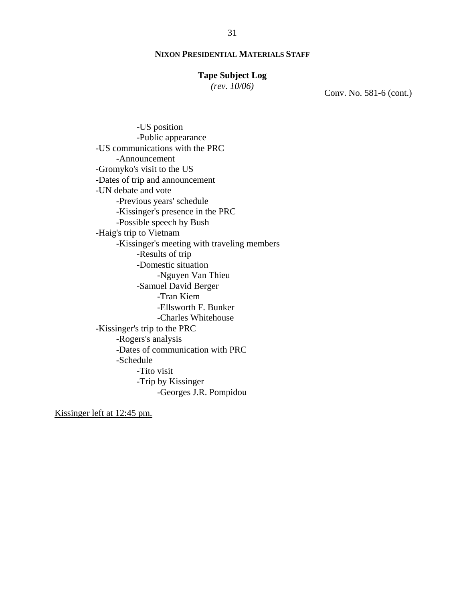### **Tape Subject Log**

*(rev. 10/06)*

Conv. No. 581-6 (cont.)

-US position -Public appearance -US communications with the PRC -Announcement -Gromyko's visit to the US -Dates of trip and announcement -UN debate and vote -Previous years' schedule -Kissinger's presence in the PRC -Possible speech by Bush -Haig's trip to Vietnam -Kissinger's meeting with traveling members -Results of trip -Domestic situation -Nguyen Van Thieu -Samuel David Berger -Tran Kiem -Ellsworth F. Bunker -Charles Whitehouse -Kissinger's trip to the PRC -Rogers's analysis -Dates of communication with PRC -Schedule -Tito visit -Trip by Kissinger -Georges J.R. Pompidou

Kissinger left at 12:45 pm.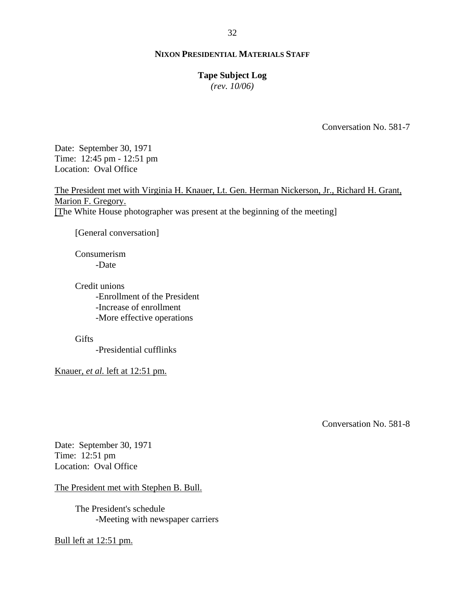### **Tape Subject Log**

*(rev. 10/06)*

Conversation No. 581-7

Date: September 30, 1971 Time: 12:45 pm - 12:51 pm Location: Oval Office

The President met with Virginia H. Knauer, Lt. Gen. Herman Nickerson, Jr., Richard H. Grant, Marion F. Gregory. [The White House photographer was present at the beginning of the meeting]

[General conversation]

Consumerism -Date

Credit unions -Enrollment of the President -Increase of enrollment -More effective operations

**Gifts** 

-Presidential cufflinks

Knauer, *et al.* left at 12:51 pm.

Conversation No. 581-8

Date: September 30, 1971 Time: 12:51 pm Location: Oval Office

The President met with Stephen B. Bull.

The President's schedule -Meeting with newspaper carriers

#### Bull left at 12:51 pm.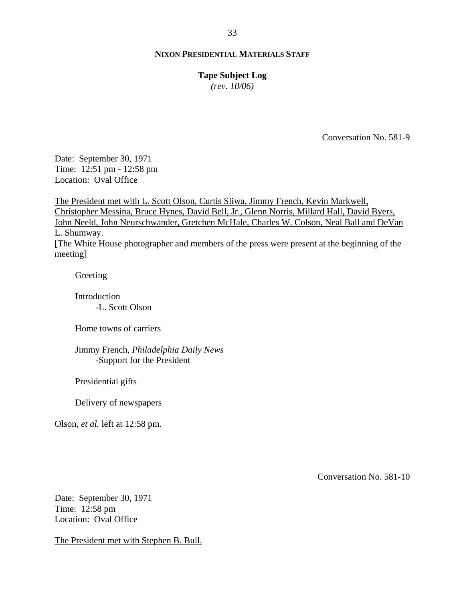# **Tape Subject Log**

*(rev. 10/06)*

Conversation No. 581-9

Date: September 30, 1971 Time: 12:51 pm - 12:58 pm Location: Oval Office

The President met with L. Scott Olson, Curtis Sliwa, Jimmy French, Kevin Markwell, Christopher Messina, Bruce Hynes, David Bell, Jr., Glenn Norris, Millard Hall, David Byers, John Neeld, John Neurschwander, Gretchen McHale, Charles W. Colson, Neal Ball and DeVan L. Shumway. [The White House photographer and members of the press were present at the beginning of the meeting]

Greeting

Introduction -L. Scott Olson

Home towns of carriers

Jimmy French, *Philadelphia Daily News* -Support for the President

Presidential gifts

Delivery of newspapers

Olson, *et al.* left at 12:58 pm.

Conversation No. 581-10

Date: September 30, 1971 Time: 12:58 pm Location: Oval Office

The President met with Stephen B. Bull.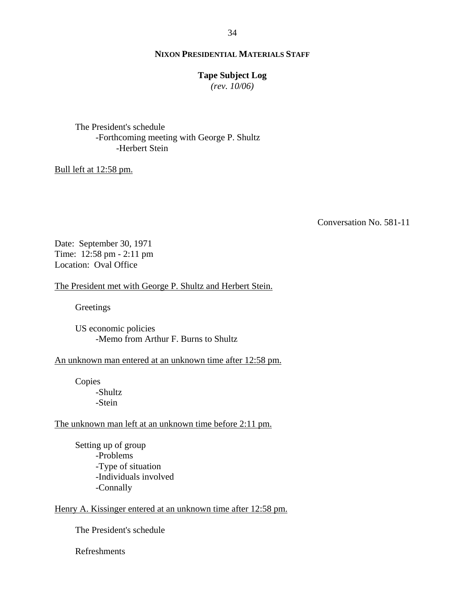### **Tape Subject Log**

*(rev. 10/06)*

The President's schedule -Forthcoming meeting with George P. Shultz -Herbert Stein

### Bull left at 12:58 pm.

Conversation No. 581-11

Date: September 30, 1971 Time: 12:58 pm - 2:11 pm Location: Oval Office

#### The President met with George P. Shultz and Herbert Stein.

**Greetings** 

US economic policies -Memo from Arthur F. Burns to Shultz

An unknown man entered at an unknown time after 12:58 pm.

Copies -Shultz -Stein

### The unknown man left at an unknown time before 2:11 pm.

Setting up of group -Problems -Type of situation -Individuals involved -Connally

### Henry A. Kissinger entered at an unknown time after 12:58 pm.

The President's schedule

Refreshments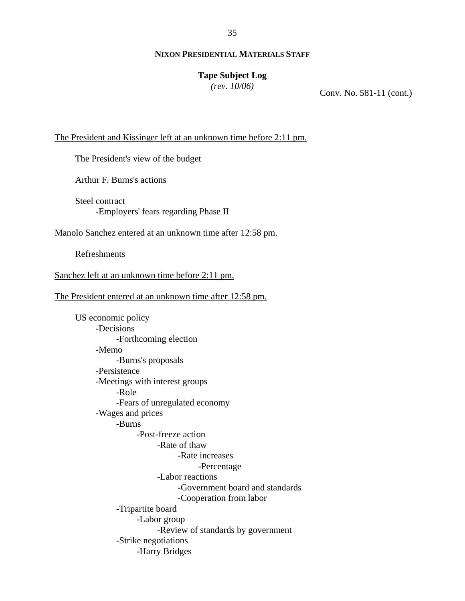35

### **NIXON PRESIDENTIAL MATERIALS STAFF**

#### **Tape Subject Log**

*(rev. 10/06)*

Conv. No. 581-11 (cont.)

The President and Kissinger left at an unknown time before 2:11 pm.

The President's view of the budget

Arthur F. Burns's actions

Steel contract -Employers' fears regarding Phase II

Manolo Sanchez entered at an unknown time after 12:58 pm.

Refreshments

Sanchez left at an unknown time before 2:11 pm.

The President entered at an unknown time after 12:58 pm.

US economic policy -Decisions -Forthcoming election -Memo -Burns's proposals -Persistence -Meetings with interest groups -Role -Fears of unregulated economy -Wages and prices -Burns -Post-freeze action -Rate of thaw -Rate increases -Percentage -Labor reactions -Government board and standards -Cooperation from labor -Tripartite board -Labor group -Review of standards by government -Strike negotiations -Harry Bridges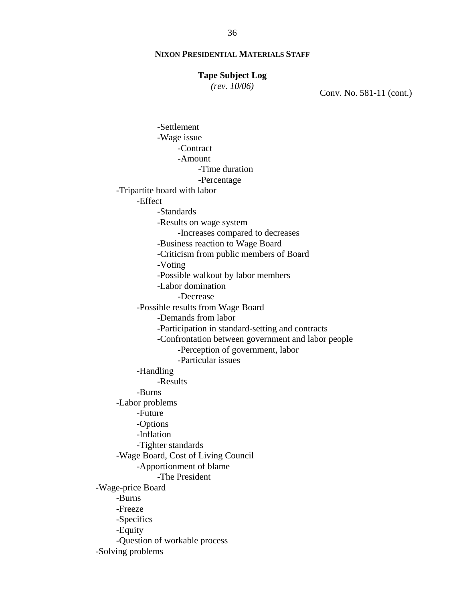#### **Tape Subject Log**

*(rev. 10/06)*

Conv. No. 581-11 (cont.)

-Settlement -Wage issue -Contract -Amount -Time duration -Percentage -Tripartite board with labor -Effect -Standards -Results on wage system -Increases compared to decreases -Business reaction to Wage Board -Criticism from public members of Board -Voting -Possible walkout by labor members -Labor domination -Decrease -Possible results from Wage Board -Demands from labor -Participation in standard-setting and contracts -Confrontation between government and labor people -Perception of government, labor -Particular issues -Handling -Results -Burns -Labor problems -Future -Options -Inflation -Tighter standards -Wage Board, Cost of Living Council -Apportionment of blame -The President -Wage-price Board -Burns -Freeze -Specifics -Equity -Question of workable process -Solving problems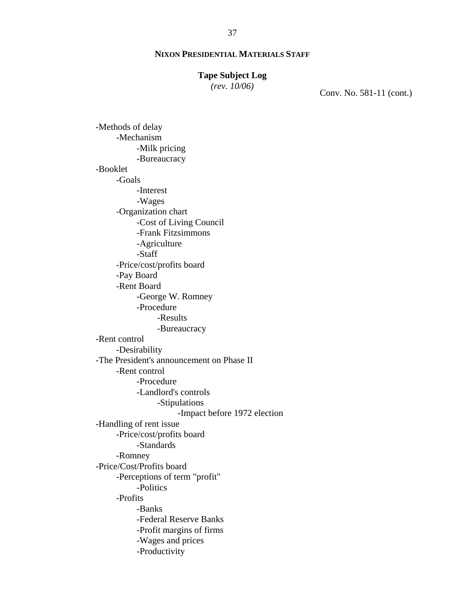#### **Tape Subject Log**

*(rev. 10/06)*

Conv. No. 581-11 (cont.)

-Methods of delay -Mechanism -Milk pricing -Bureaucracy -Booklet -Goals -Interest -Wages -Organization chart -Cost of Living Council -Frank Fitzsimmons -Agriculture -Staff -Price/cost/profits board -Pay Board -Rent Board -George W. Romney -Procedure -Results -Bureaucracy -Rent control -Desirability -The President's announcement on Phase II -Rent control -Procedure -Landlord's controls -Stipulations -Impact before 1972 election -Handling of rent issue -Price/cost/profits board -Standards -Romney -Price/Cost/Profits board -Perceptions of term "profit" -Politics -Profits -Banks -Federal Reserve Banks -Profit margins of firms -Wages and prices -Productivity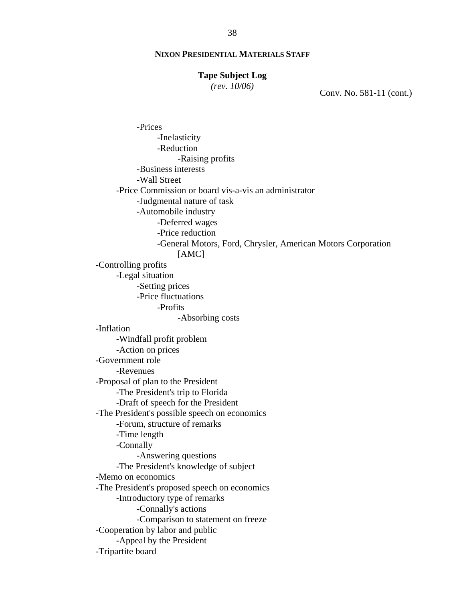#### **Tape Subject Log**

*(rev. 10/06)*

Conv. No. 581-11 (cont.)

-Prices -Inelasticity -Reduction -Raising profits -Business interests -Wall Street -Price Commission or board vis-a-vis an administrator -Judgmental nature of task -Automobile industry -Deferred wages -Price reduction -General Motors, Ford, Chrysler, American Motors Corporation [AMC] -Controlling profits -Legal situation -Setting prices -Price fluctuations -Profits -Absorbing costs -Inflation -Windfall profit problem -Action on prices -Government role -Revenues -Proposal of plan to the President -The President's trip to Florida -Draft of speech for the President -The President's possible speech on economics -Forum, structure of remarks -Time length -Connally -Answering questions -The President's knowledge of subject -Memo on economics -The President's proposed speech on economics -Introductory type of remarks -Connally's actions -Comparison to statement on freeze -Cooperation by labor and public -Appeal by the President -Tripartite board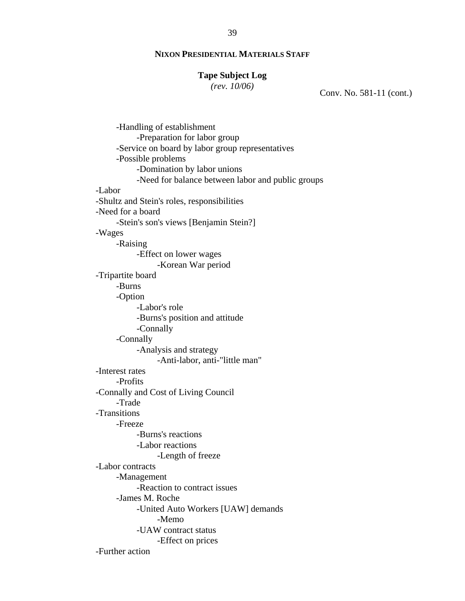#### **Tape Subject Log**

*(rev. 10/06)*

Conv. No. 581-11 (cont.)

-Handling of establishment -Preparation for labor group -Service on board by labor group representatives -Possible problems -Domination by labor unions -Need for balance between labor and public groups -Labor -Shultz and Stein's roles, responsibilities -Need for a board -Stein's son's views [Benjamin Stein?] -Wages -Raising -Effect on lower wages -Korean War period -Tripartite board -Burns -Option -Labor's role -Burns's position and attitude -Connally -Connally -Analysis and strategy -Anti-labor, anti-"little man" -Interest rates -Profits -Connally and Cost of Living Council -Trade -Transitions -Freeze -Burns's reactions -Labor reactions -Length of freeze -Labor contracts -Management -Reaction to contract issues -James M. Roche -United Auto Workers [UAW] demands -Memo -UAW contract status -Effect on prices -Further action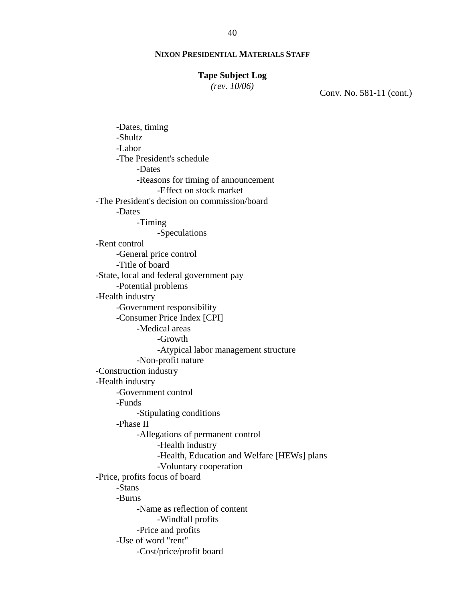#### **Tape Subject Log**

*(rev. 10/06)*

Conv. No. 581-11 (cont.)

-Dates, timing -Shultz -Labor -The President's schedule -Dates -Reasons for timing of announcement -Effect on stock market -The President's decision on commission/board -Dates -Timing -Speculations -Rent control -General price control -Title of board -State, local and federal government pay -Potential problems -Health industry -Government responsibility -Consumer Price Index [CPI] -Medical areas -Growth -Atypical labor management structure -Non-profit nature -Construction industry -Health industry -Government control -Funds -Stipulating conditions -Phase II -Allegations of permanent control -Health industry -Health, Education and Welfare [HEWs] plans -Voluntary cooperation -Price, profits focus of board -Stans -Burns -Name as reflection of content -Windfall profits -Price and profits -Use of word "rent" -Cost/price/profit board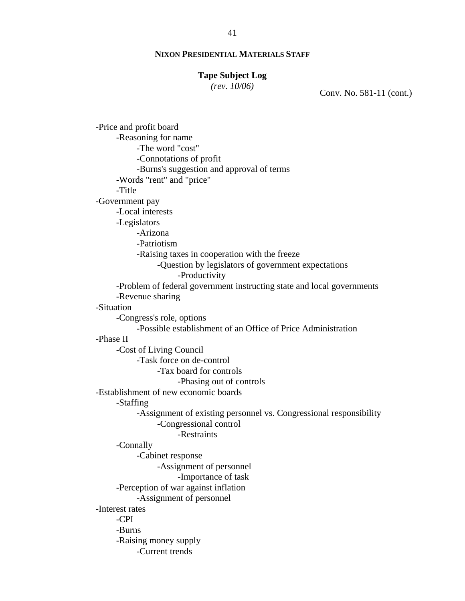#### **Tape Subject Log**

*(rev. 10/06)*

Conv. No. 581-11 (cont.)

-Price and profit board -Reasoning for name -The word "cost" -Connotations of profit -Burns's suggestion and approval of terms -Words "rent" and "price" -Title -Government pay -Local interests -Legislators -Arizona -Patriotism -Raising taxes in cooperation with the freeze -Question by legislators of government expectations -Productivity -Problem of federal government instructing state and local governments -Revenue sharing -Situation -Congress's role, options -Possible establishment of an Office of Price Administration -Phase II -Cost of Living Council -Task force on de-control -Tax board for controls -Phasing out of controls -Establishment of new economic boards -Staffing -Assignment of existing personnel vs. Congressional responsibility -Congressional control -Restraints -Connally -Cabinet response -Assignment of personnel -Importance of task -Perception of war against inflation -Assignment of personnel -Interest rates -CPI -Burns -Raising money supply -Current trends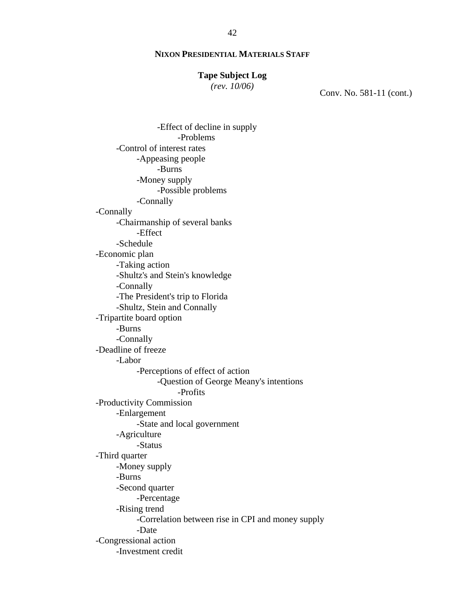#### **Tape Subject Log**

*(rev. 10/06)*

Conv. No. 581-11 (cont.)

-Effect of decline in supply -Problems -Control of interest rates -Appeasing people -Burns -Money supply -Possible problems -Connally -Connally -Chairmanship of several banks -Effect -Schedule -Economic plan -Taking action -Shultz's and Stein's knowledge -Connally -The President's trip to Florida -Shultz, Stein and Connally -Tripartite board option -Burns -Connally -Deadline of freeze -Labor -Perceptions of effect of action -Question of George Meany's intentions -Profits -Productivity Commission -Enlargement -State and local government -Agriculture -Status -Third quarter -Money supply -Burns -Second quarter -Percentage -Rising trend -Correlation between rise in CPI and money supply -Date -Congressional action -Investment credit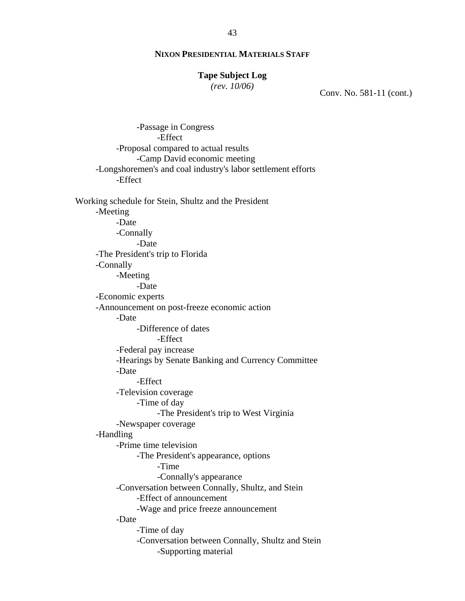#### **Tape Subject Log**

*(rev. 10/06)*

Conv. No. 581-11 (cont.)

-Passage in Congress -Effect -Proposal compared to actual results -Camp David economic meeting -Longshoremen's and coal industry's labor settlement efforts -Effect Working schedule for Stein, Shultz and the President -Meeting -Date -Connally -Date -The President's trip to Florida -Connally -Meeting -Date -Economic experts -Announcement on post-freeze economic action -Date -Difference of dates -Effect -Federal pay increase -Hearings by Senate Banking and Currency Committee -Date -Effect -Television coverage -Time of day -The President's trip to West Virginia -Newspaper coverage -Handling -Prime time television -The President's appearance, options -Time -Connally's appearance -Conversation between Connally, Shultz, and Stein -Effect of announcement -Wage and price freeze announcement -Date -Time of day -Conversation between Connally, Shultz and Stein -Supporting material